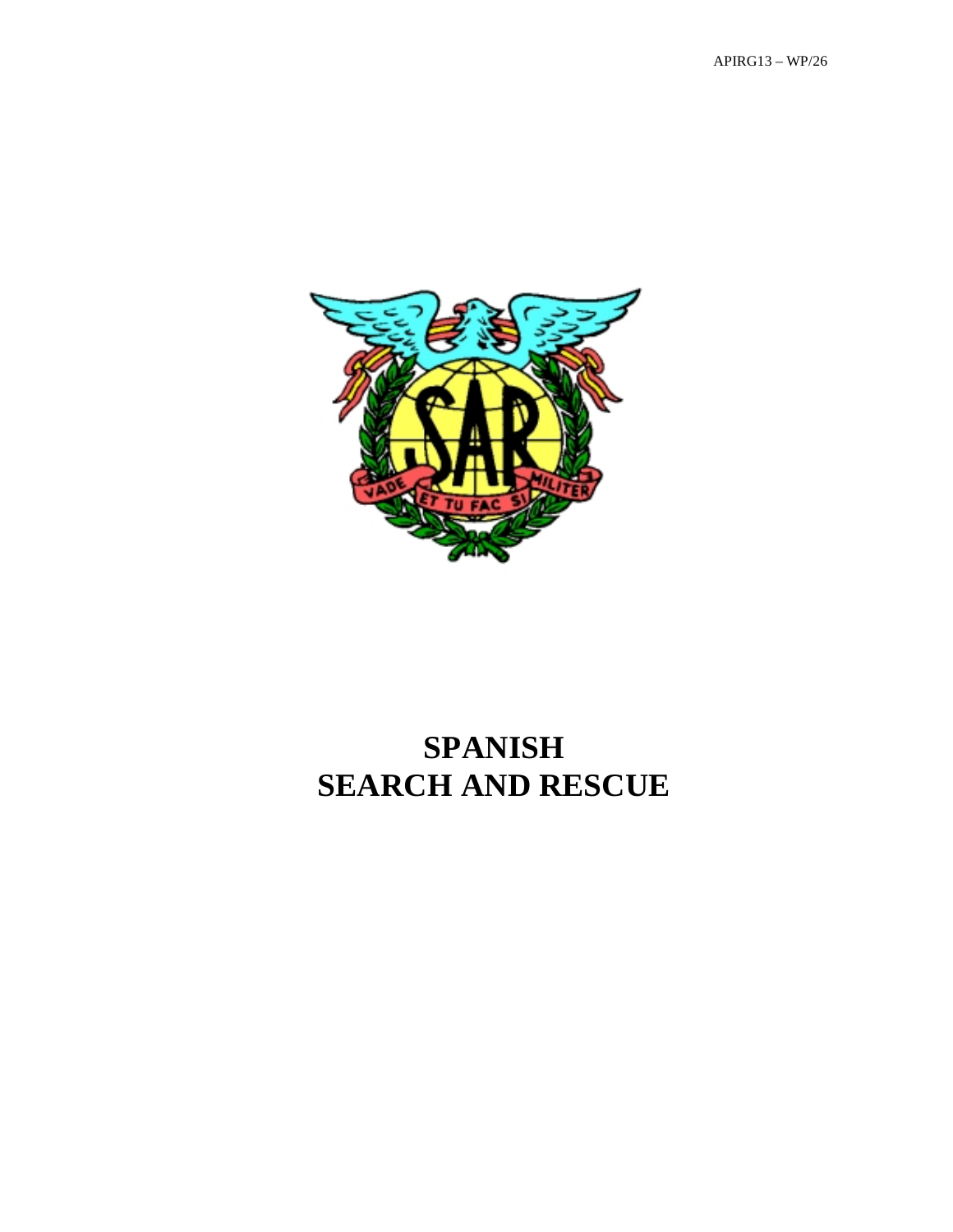

# **SPANISH SEARCH AND RESCUE**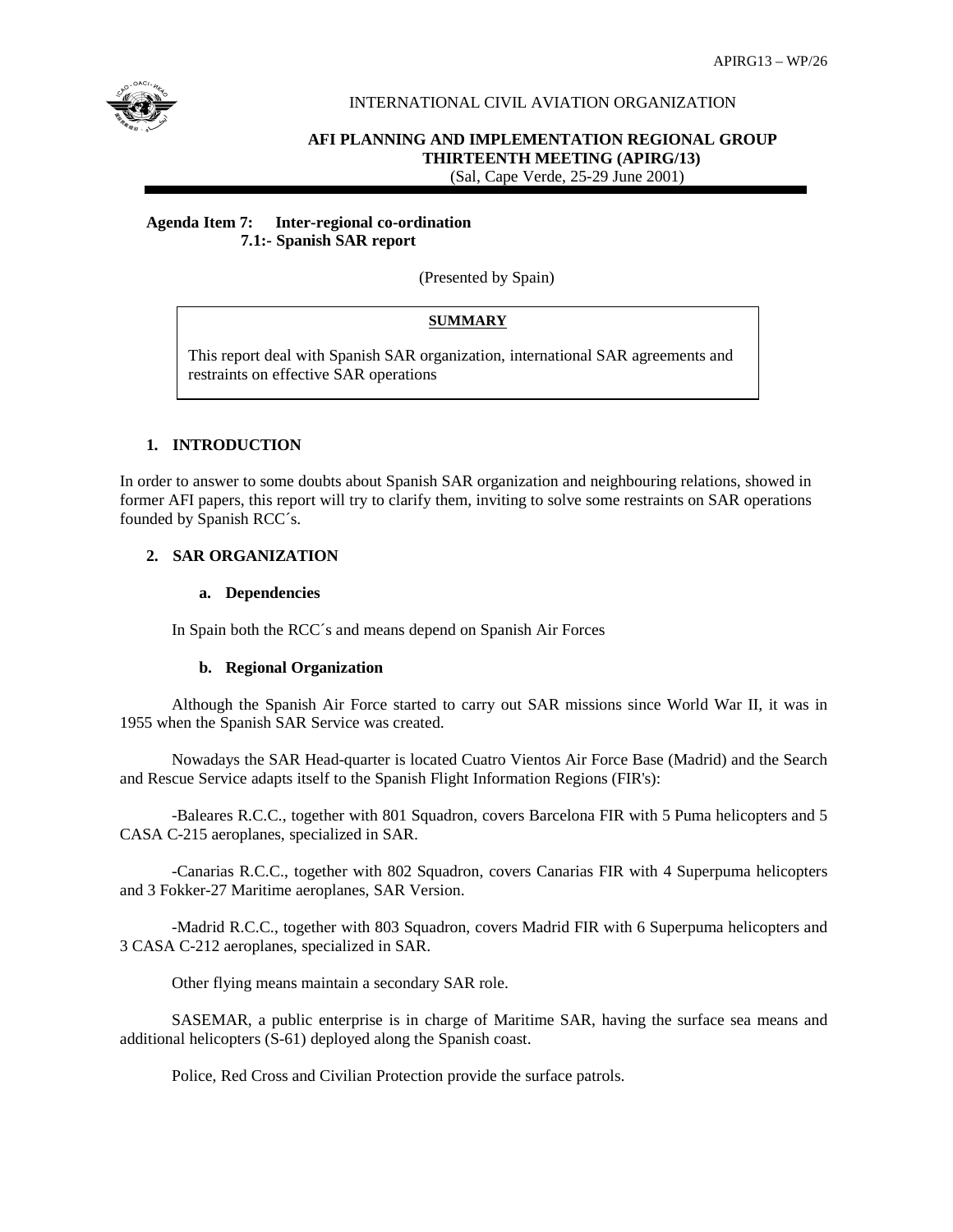

#### INTERNATIONAL CIVIL AVIATION ORGANIZATION

# **AFI PLANNING AND IMPLEMENTATION REGIONAL GROUP THIRTEENTH MEETING (APIRG/13)**

(Sal, Cape Verde, 25-29 June 2001)

#### **Agenda Item 7: Inter-regional co-ordination 7.1:- Spanish SAR report**

(Presented by Spain)

# **SUMMARY**

This report deal with Spanish SAR organization, international SAR agreements and restraints on effective SAR operations

# **1. INTRODUCTION**

In order to answer to some doubts about Spanish SAR organization and neighbouring relations, showed in former AFI papers, this report will try to clarify them, inviting to solve some restraints on SAR operations founded by Spanish RCC´s.

# **2. SAR ORGANIZATION**

#### **a. Dependencies**

In Spain both the RCC´s and means depend on Spanish Air Forces

#### **b. Regional Organization**

Although the Spanish Air Force started to carry out SAR missions since World War II, it was in 1955 when the Spanish SAR Service was created.

Nowadays the SAR Head-quarter is located Cuatro Vientos Air Force Base (Madrid) and the Search and Rescue Service adapts itself to the Spanish Flight Information Regions (FIR's):

-Baleares R.C.C., together with 801 Squadron, covers Barcelona FIR with 5 Puma helicopters and 5 CASA C-215 aeroplanes, specialized in SAR.

-Canarias R.C.C., together with 802 Squadron, covers Canarias FIR with 4 Superpuma helicopters and 3 Fokker-27 Maritime aeroplanes, SAR Version.

-Madrid R.C.C., together with 803 Squadron, covers Madrid FIR with 6 Superpuma helicopters and 3 CASA C-212 aeroplanes, specialized in SAR.

Other flying means maintain a secondary SAR role.

SASEMAR, a public enterprise is in charge of Maritime SAR, having the surface sea means and additional helicopters (S-61) deployed along the Spanish coast.

Police, Red Cross and Civilian Protection provide the surface patrols.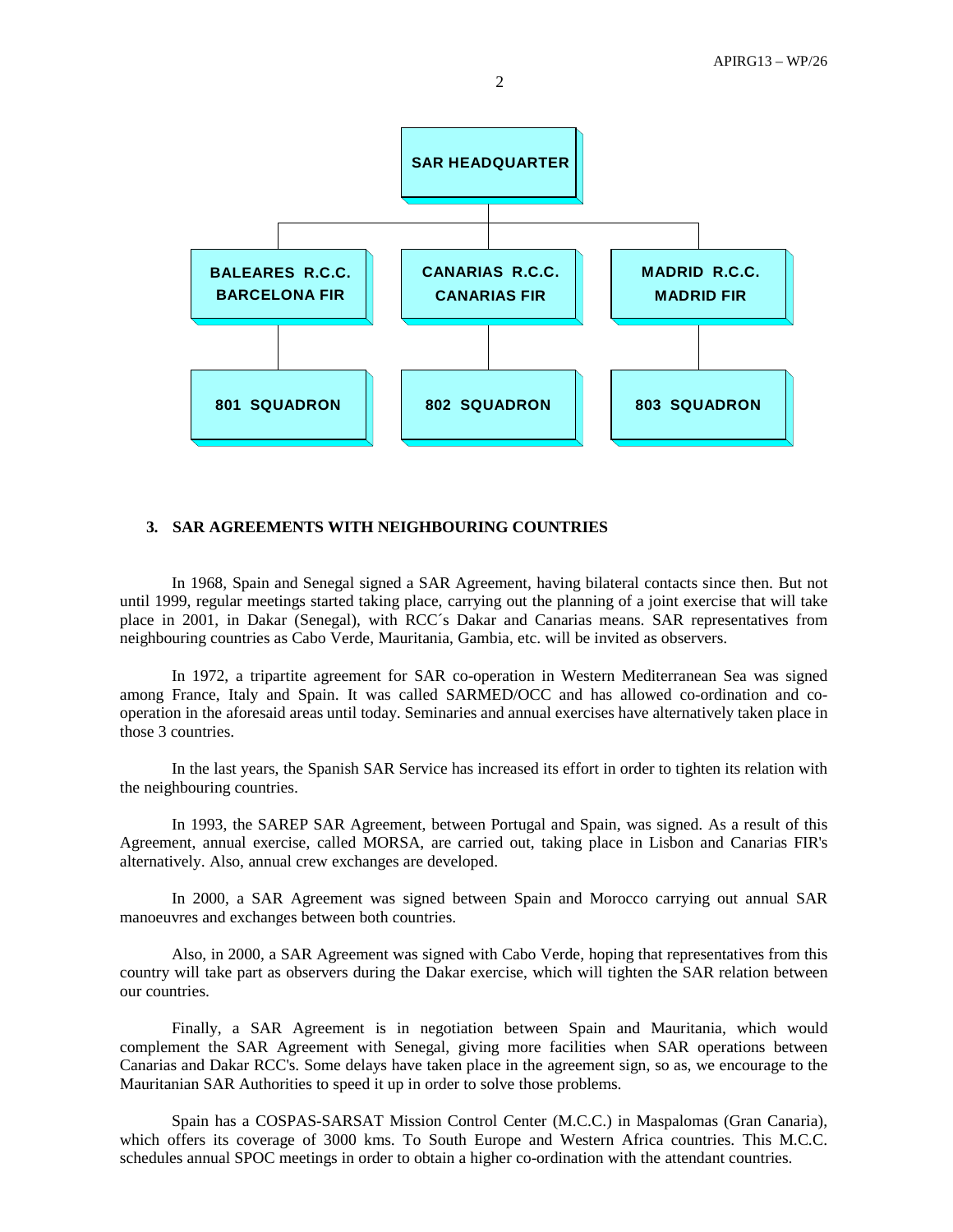

#### **3. SAR AGREEMENTS WITH NEIGHBOURING COUNTRIES**

In 1968, Spain and Senegal signed a SAR Agreement, having bilateral contacts since then. But not until 1999, regular meetings started taking place, carrying out the planning of a joint exercise that will take place in 2001, in Dakar (Senegal), with RCC´s Dakar and Canarias means. SAR representatives from neighbouring countries as Cabo Verde, Mauritania, Gambia, etc. will be invited as observers.

In 1972, a tripartite agreement for SAR co-operation in Western Mediterranean Sea was signed among France, Italy and Spain. It was called SARMED/OCC and has allowed co-ordination and cooperation in the aforesaid areas until today. Seminaries and annual exercises have alternatively taken place in those 3 countries.

In the last years, the Spanish SAR Service has increased its effort in order to tighten its relation with the neighbouring countries.

In 1993, the SAREP SAR Agreement, between Portugal and Spain, was signed. As a result of this Agreement, annual exercise, called MORSA, are carried out, taking place in Lisbon and Canarias FIR's alternatively. Also, annual crew exchanges are developed.

In 2000, a SAR Agreement was signed between Spain and Morocco carrying out annual SAR manoeuvres and exchanges between both countries.

Also, in 2000, a SAR Agreement was signed with Cabo Verde, hoping that representatives from this country will take part as observers during the Dakar exercise, which will tighten the SAR relation between our countries.

Finally, a SAR Agreement is in negotiation between Spain and Mauritania, which would complement the SAR Agreement with Senegal, giving more facilities when SAR operations between Canarias and Dakar RCC's. Some delays have taken place in the agreement sign, so as, we encourage to the Mauritanian SAR Authorities to speed it up in order to solve those problems.

Spain has a COSPAS-SARSAT Mission Control Center (M.C.C.) in Maspalomas (Gran Canaria), which offers its coverage of 3000 kms. To South Europe and Western Africa countries. This M.C.C. schedules annual SPOC meetings in order to obtain a higher co-ordination with the attendant countries.